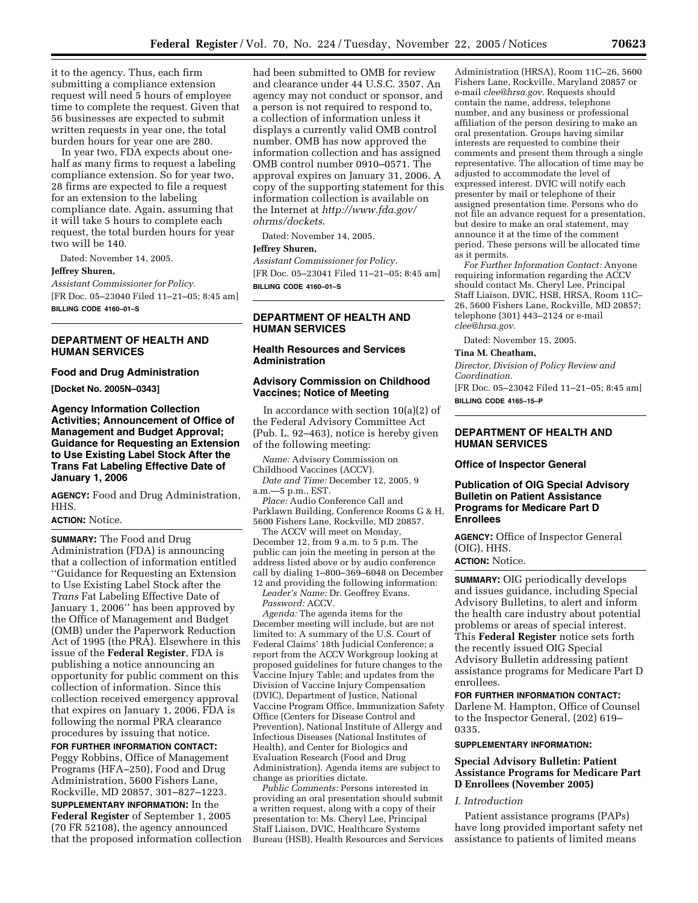it to the agency. Thus, each firm submitting a compliance extension request will need 5 hours of employee time to complete the request. Given that 56 businesses are expected to submit written requests in year one, the total burden hours for year one are 280.

In year two, FDA expects about onehalf as many firms to request a labeling compliance extension. So for year two, 28 firms are expected to file a request for an extension to the labeling compliance date. Again, assuming that it will take 5 hours to complete each request, the total burden hours for year two will be 140.

Dated: November 14, 2005.

#### **Jeffrey Shuren,**

*Assistant Commissioner for Policy.*  [FR Doc. 05–23040 Filed 11–21–05; 8:45 am] **BILLING CODE 4160–01–S** 

# **DEPARTMENT OF HEALTH AND HUMAN SERVICES**

#### **Food and Drug Administration**

**[Docket No. 2005N–0343]** 

**Agency Information Collection Activities; Announcement of Office of Management and Budget Approval; Guidance for Requesting an Extension to Use Existing Label Stock After the Trans Fat Labeling Effective Date of January 1, 2006** 

**AGENCY:** Food and Drug Administration, HHS.

## **ACTION:** Notice.

**SUMMARY:** The Food and Drug Administration (FDA) is announcing that a collection of information entitled ''Guidance for Requesting an Extension to Use Existing Label Stock after the *Trans* Fat Labeling Effective Date of January 1, 2006'' has been approved by the Office of Management and Budget (OMB) under the Paperwork Reduction Act of 1995 (the PRA). Elsewhere in this issue of the **Federal Register**, FDA is publishing a notice announcing an opportunity for public comment on this collection of information. Since this collection received emergency approval that expires on January 1, 2006, FDA is following the normal PRA clearance procedures by issuing that notice.

**FOR FURTHER INFORMATION CONTACT:**  Peggy Robbins, Office of Management Programs (HFA–250), Food and Drug Administration, 5600 Fishers Lane, Rockville, MD 20857, 301–827–1223.

**SUPPLEMENTARY INFORMATION:** In the **Federal Register** of September 1, 2005 (70 FR 52108), the agency announced that the proposed information collection

had been submitted to OMB for review and clearance under 44 U.S.C. 3507. An agency may not conduct or sponsor, and a person is not required to respond to, a collection of information unless it displays a currently valid OMB control number. OMB has now approved the information collection and has assigned OMB control number 0910–0571. The approval expires on January 31, 2006. A copy of the supporting statement for this information collection is available on the Internet at *http://www.fda.gov/ ohrms/dockets*.

Dated: November 14, 2005.

#### **Jeffrey Shuren,**

*Assistant Commissioner for Policy.*  [FR Doc. 05–23041 Filed 11–21–05; 8:45 am] **BILLING CODE 4160–01–S** 

# **DEPARTMENT OF HEALTH AND HUMAN SERVICES**

## **Health Resources and Services Administration**

## **Advisory Commission on Childhood Vaccines; Notice of Meeting**

In accordance with section 10(a)(2) of the Federal Advisory Committee Act (Pub. L. 92–463), notice is hereby given of the following meeting:

*Name:* Advisory Commission on Childhood Vaccines (ACCV).

*Date and Time:* December 12, 2005, 9 a.m.—5 p.m., EST.

*Place:* Audio Conference Call and Parklawn Building, Conference Rooms G & H, 5600 Fishers Lane, Rockville, MD 20857.

The ACCV will meet on Monday, December 12, from 9 a.m. to 5 p.m. The public can join the meeting in person at the address listed above or by audio conference call by dialing 1–800–369–6048 on December 12 and providing the following information:

*Leader's Name:* Dr. Geoffrey Evans.

*Password:* ACCV.

*Agenda:* The agenda items for the December meeting will include, but are not limited to: A summary of the U.S. Court of Federal Claims' 18th Judicial Conference; a report from the ACCV Workgroup looking at proposed guidelines for future changes to the Vaccine Injury Table; and updates from the Division of Vaccine Injury Compensation (DVIC), Department of Justice, National Vaccine Program Office, Immunization Safety Office (Centers for Disease Control and Prevention), National Institute of Allergy and Infectious Diseases (National Institutes of Health), and Center for Biologics and Evaluation Research (Food and Drug Administration). Agenda items are subject to change as priorities dictate.

*Public Comments:* Persons interested in providing an oral presentation should submit a written request, along with a copy of their presentation to: Ms. Cheryl Lee, Principal Staff Liaison, DVIC, Healthcare Systems Bureau (HSB), Health Resources and Services

Administration (HRSA), Room 11C–26, 5600 Fishers Lane, Rockville, Maryland 20857 or e-mail *clee@hrsa.gov*. Requests should contain the name, address, telephone number, and any business or professional affiliation of the person desiring to make an oral presentation. Groups having similar interests are requested to combine their comments and present them through a single representative. The allocation of time may be adjusted to accommodate the level of expressed interest. DVIC will notify each presenter by mail or telephone of their assigned presentation time. Persons who do not file an advance request for a presentation, but desire to make an oral statement, may announce it at the time of the comment period. These persons will be allocated time as it permits.

*For Further Information Contact:* Anyone requiring information regarding the ACCV should contact Ms. Cheryl Lee, Principal Staff Liaison, DVIC, HSB, HRSA, Room 11C– 26, 5600 Fishers Lane, Rockville, MD 20857; telephone (301) 443–2124 or e-mail *clee@hrsa.gov*.

Dated: November 15, 2005.

# **Tina M. Cheatham,**

*Director, Division of Policy Review and Coordination.* 

[FR Doc. 05–23042 Filed 11–21–05; 8:45 am] **BILLING CODE 4165–15–P** 

## **DEPARTMENT OF HEALTH AND HUMAN SERVICES**

#### **Office of Inspector General**

# **Publication of OIG Special Advisory Bulletin on Patient Assistance Programs for Medicare Part D Enrollees**

**AGENCY:** Office of Inspector General (OIG), HHS. **ACTION:** Notice.

**SUMMARY:** OIG periodically develops and issues guidance, including Special Advisory Bulletins, to alert and inform the health care industry about potential problems or areas of special interest. This **Federal Register** notice sets forth the recently issued OIG Special Advisory Bulletin addressing patient assistance programs for Medicare Part D enrollees.

**FOR FURTHER INFORMATION CONTACT:** 

Darlene M. Hampton, Office of Counsel to the Inspector General, (202) 619– 0335.

## **SUPPLEMENTARY INFORMATION:**

## **Special Advisory Bulletin: Patient Assistance Programs for Medicare Part D Enrollees (November 2005)**

## *I. Introduction*

Patient assistance programs (PAPs) have long provided important safety net assistance to patients of limited means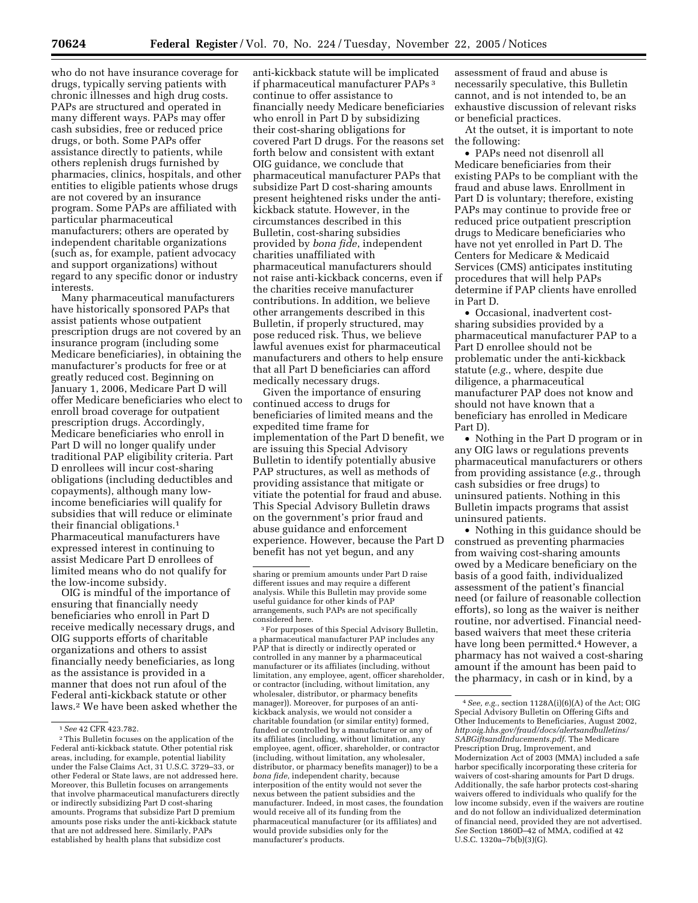who do not have insurance coverage for drugs, typically serving patients with chronic illnesses and high drug costs. PAPs are structured and operated in many different ways. PAPs may offer cash subsidies, free or reduced price drugs, or both. Some PAPs offer assistance directly to patients, while others replenish drugs furnished by pharmacies, clinics, hospitals, and other entities to eligible patients whose drugs are not covered by an insurance program. Some PAPs are affiliated with particular pharmaceutical manufacturers; others are operated by independent charitable organizations (such as, for example, patient advocacy and support organizations) without regard to any specific donor or industry interests.

Many pharmaceutical manufacturers have historically sponsored PAPs that assist patients whose outpatient prescription drugs are not covered by an insurance program (including some Medicare beneficiaries), in obtaining the manufacturer's products for free or at greatly reduced cost. Beginning on January 1, 2006, Medicare Part D will offer Medicare beneficiaries who elect to enroll broad coverage for outpatient prescription drugs. Accordingly, Medicare beneficiaries who enroll in Part D will no longer qualify under traditional PAP eligibility criteria. Part D enrollees will incur cost-sharing obligations (including deductibles and copayments), although many lowincome beneficiaries will qualify for subsidies that will reduce or eliminate their financial obligations.1 Pharmaceutical manufacturers have expressed interest in continuing to assist Medicare Part D enrollees of limited means who do not qualify for the low-income subsidy.

OIG is mindful of the importance of ensuring that financially needy beneficiaries who enroll in Part D receive medically necessary drugs, and OIG supports efforts of charitable organizations and others to assist financially needy beneficiaries, as long as the assistance is provided in a manner that does not run afoul of the Federal anti-kickback statute or other laws.2 We have been asked whether the

anti-kickback statute will be implicated if pharmaceutical manufacturer PAPs 3 continue to offer assistance to financially needy Medicare beneficiaries who enroll in Part D by subsidizing their cost-sharing obligations for covered Part D drugs. For the reasons set forth below and consistent with extant OIG guidance, we conclude that pharmaceutical manufacturer PAPs that subsidize Part D cost-sharing amounts present heightened risks under the antikickback statute. However, in the circumstances described in this Bulletin, cost-sharing subsidies provided by *bona fide*, independent charities unaffiliated with pharmaceutical manufacturers should not raise anti-kickback concerns, even if the charities receive manufacturer contributions. In addition, we believe other arrangements described in this Bulletin, if properly structured, may pose reduced risk. Thus, we believe lawful avenues exist for pharmaceutical manufacturers and others to help ensure that all Part D beneficiaries can afford medically necessary drugs.

Given the importance of ensuring continued access to drugs for beneficiaries of limited means and the expedited time frame for implementation of the Part D benefit, we are issuing this Special Advisory Bulletin to identify potentially abusive PAP structures, as well as methods of providing assistance that mitigate or vitiate the potential for fraud and abuse. This Special Advisory Bulletin draws on the government's prior fraud and abuse guidance and enforcement experience. However, because the Part D benefit has not yet begun, and any

3For purposes of this Special Advisory Bulletin, a pharmaceutical manufacturer PAP includes any PAP that is directly or indirectly operated or controlled in any manner by a pharmaceutical manufacturer or its affiliates (including, without limitation, any employee, agent, officer shareholder, or contractor (including, without limitation, any wholesaler, distributor, or pharmacy benefits manager)). Moreover, for purposes of an antikickback analysis, we would not consider a charitable foundation (or similar entity) formed, funded or controlled by a manufacturer or any of its affiliates (including, without limitation, any employee, agent, officer, shareholder, or contractor (including, without limitation, any wholesaler, distributor, or pharmacy benefits manager)) to be a *bona fide*, independent charity, because interposition of the entity would not sever the nexus between the patient subsidies and the manufacturer. Indeed, in most cases, the foundation would receive all of its funding from the pharmaceutical manufacturer (or its affiliates) and would provide subsidies only for the manufacturer's products.

assessment of fraud and abuse is necessarily speculative, this Bulletin cannot, and is not intended to, be an exhaustive discussion of relevant risks or beneficial practices.

At the outset, it is important to note the following:

• PAPs need not disenroll all Medicare beneficiaries from their existing PAPs to be compliant with the fraud and abuse laws. Enrollment in Part D is voluntary; therefore, existing PAPs may continue to provide free or reduced price outpatient prescription drugs to Medicare beneficiaries who have not yet enrolled in Part D. The Centers for Medicare & Medicaid Services (CMS) anticipates instituting procedures that will help PAPs determine if PAP clients have enrolled in Part D.

• Occasional, inadvertent costsharing subsidies provided by a pharmaceutical manufacturer PAP to a Part D enrollee should not be problematic under the anti-kickback statute (*e.g.*, where, despite due diligence, a pharmaceutical manufacturer PAP does not know and should not have known that a beneficiary has enrolled in Medicare Part D).

• Nothing in the Part D program or in any OIG laws or regulations prevents pharmaceutical manufacturers or others from providing assistance (*e.g.*, through cash subsidies or free drugs) to uninsured patients. Nothing in this Bulletin impacts programs that assist uninsured patients.

• Nothing in this guidance should be construed as preventing pharmacies from waiving cost-sharing amounts owed by a Medicare beneficiary on the basis of a good faith, individualized assessment of the patient's financial need (or failure of reasonable collection efforts), so long as the waiver is neither routine, nor advertised. Financial needbased waivers that meet these criteria have long been permitted.<sup>4</sup> However, a pharmacy has not waived a cost-sharing amount if the amount has been paid to the pharmacy, in cash or in kind, by a

<sup>1</sup>*See* 42 CFR 423.782.

<sup>2</sup>This Bulletin focuses on the application of the Federal anti-kickback statute. Other potential risk areas, including, for example, potential liability under the False Claims Act, 31 U.S.C. 3729–33, or other Federal or State laws, are not addressed here. Moreover, this Bulletin focuses on arrangements that involve pharmaceutical manufacturers directly or indirectly subsidizing Part D cost-sharing amounts. Programs that subsidize Part D premium amounts pose risks under the anti-kickback statute that are not addressed here. Similarly, PAPs established by health plans that subsidize cost

sharing or premium amounts under Part D raise different issues and may require a different analysis. While this Bulletin may provide some useful guidance for other kinds of PAP arrangements, such PAPs are not specifically considered here.

 $4\,See,\,e.g.,$  section  $1128\textrm{A(i)}(6)(\textrm{A})$  of the Act; OIG Special Advisory Bulletin on Offering Gifts and Other Inducements to Beneficiaries, August 2002, *http:oig.hhs.gov/fraud/docs/alertsandbulletins/ SABGiftsandInducements.pdf*. The Medicare Prescription Drug, Improvement, and Modernization Act of 2003 (MMA) included a safe harbor specifically incorporating these criteria for waivers of cost-sharing amounts for Part D drugs. Additionally, the safe harbor protects cost-sharing waivers offered to individuals who qualify for the low income subsidy, even if the waivers are routine and do not follow an individualized determination of financial need, provided they are not advertised. *See* Section 1860D–42 of MMA, codified at 42 U.S.C. 1320a–7b(b)(3)(G).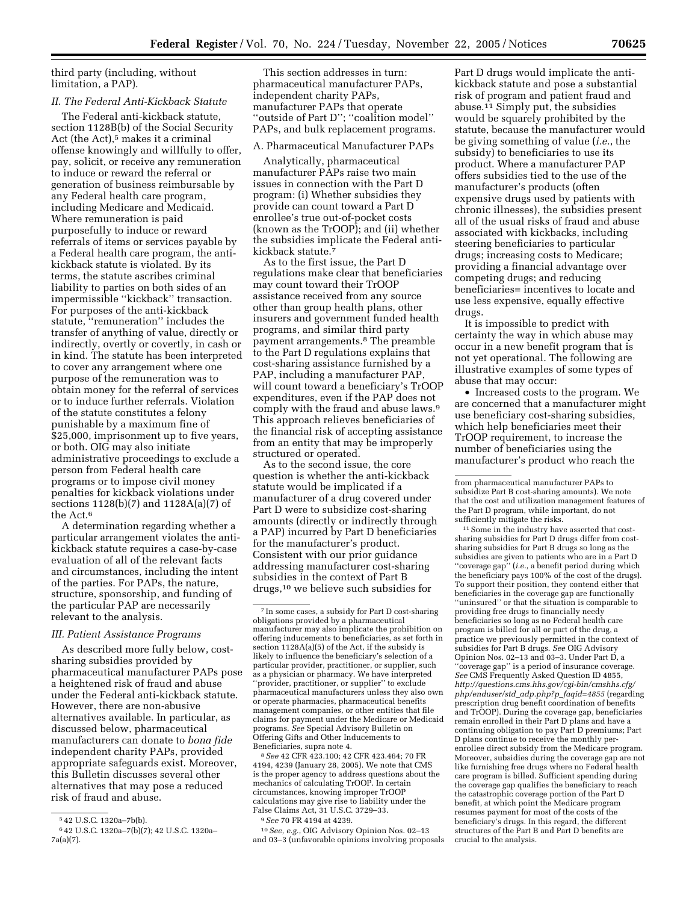third party (including, without limitation, a PAP).

# *II. The Federal Anti-Kickback Statute*

The Federal anti-kickback statute, section 1128B(b) of the Social Security Act (the Act),<sup>5</sup> makes it a criminal offense knowingly and willfully to offer, pay, solicit, or receive any remuneration to induce or reward the referral or generation of business reimbursable by any Federal health care program, including Medicare and Medicaid. Where remuneration is paid purposefully to induce or reward referrals of items or services payable by a Federal health care program, the antikickback statute is violated. By its terms, the statute ascribes criminal liability to parties on both sides of an impermissible ''kickback'' transaction. For purposes of the anti-kickback statute, ''remuneration'' includes the transfer of anything of value, directly or indirectly, overtly or covertly, in cash or in kind. The statute has been interpreted to cover any arrangement where one purpose of the remuneration was to obtain money for the referral of services or to induce further referrals. Violation of the statute constitutes a felony punishable by a maximum fine of \$25,000, imprisonment up to five years, or both. OIG may also initiate administrative proceedings to exclude a person from Federal health care programs or to impose civil money penalties for kickback violations under sections 1128(b)(7) and 1128A(a)(7) of the Act.6

A determination regarding whether a particular arrangement violates the antikickback statute requires a case-by-case evaluation of all of the relevant facts and circumstances, including the intent of the parties. For PAPs, the nature, structure, sponsorship, and funding of the particular PAP are necessarily relevant to the analysis.

# *III. Patient Assistance Programs*

As described more fully below, costsharing subsidies provided by pharmaceutical manufacturer PAPs pose a heightened risk of fraud and abuse under the Federal anti-kickback statute. However, there are non-abusive alternatives available. In particular, as discussed below, pharmaceutical manufacturers can donate to *bona fide*  independent charity PAPs, provided appropriate safeguards exist. Moreover, this Bulletin discusses several other alternatives that may pose a reduced risk of fraud and abuse.

This section addresses in turn: pharmaceutical manufacturer PAPs, independent charity PAPs, manufacturer PAPs that operate ''outside of Part D''; ''coalition model'' PAPs, and bulk replacement programs.

# A. Pharmaceutical Manufacturer PAPs

Analytically, pharmaceutical manufacturer PAPs raise two main issues in connection with the Part D program: (i) Whether subsidies they provide can count toward a Part D enrollee's true out-of-pocket costs (known as the TrOOP); and (ii) whether the subsidies implicate the Federal antikickback statute.7

As to the first issue, the Part D regulations make clear that beneficiaries may count toward their TrOOP assistance received from any source other than group health plans, other insurers and government funded health programs, and similar third party payment arrangements.8 The preamble to the Part D regulations explains that cost-sharing assistance furnished by a PAP, including a manufacturer PAP, will count toward a beneficiary's TrOOP expenditures, even if the PAP does not comply with the fraud and abuse laws.9 This approach relieves beneficiaries of the financial risk of accepting assistance from an entity that may be improperly structured or operated.

As to the second issue, the core question is whether the anti-kickback statute would be implicated if a manufacturer of a drug covered under Part D were to subsidize cost-sharing amounts (directly or indirectly through a PAP) incurred by Part D beneficiaries for the manufacturer's product. Consistent with our prior guidance addressing manufacturer cost-sharing subsidies in the context of Part B drugs,10 we believe such subsidies for

8*See* 42 CFR 423.100; 42 CFR 423.464; 70 FR 4194, 4239 (January 28, 2005). We note that CMS is the proper agency to address questions about the mechanics of calculating TrOOP. In certain circumstances, knowing improper TrOOP calculations may give rise to liability under the False Claims Act, 31 U.S.C. 3729–33.

10*See, e.g.*, OIG Advisory Opinion Nos. 02–13 and 03–3 (unfavorable opinions involving proposals

Part D drugs would implicate the antikickback statute and pose a substantial risk of program and patient fraud and abuse.11 Simply put, the subsidies would be squarely prohibited by the statute, because the manufacturer would be giving something of value (*i.e.*, the subsidy) to beneficiaries to use its product. Where a manufacturer PAP offers subsidies tied to the use of the manufacturer's products (often expensive drugs used by patients with chronic illnesses), the subsidies present all of the usual risks of fraud and abuse associated with kickbacks, including steering beneficiaries to particular drugs; increasing costs to Medicare; providing a financial advantage over competing drugs; and reducing beneficiaries= incentives to locate and use less expensive, equally effective drugs.

It is impossible to predict with certainty the way in which abuse may occur in a new benefit program that is not yet operational. The following are illustrative examples of some types of abuse that may occur:

• Increased costs to the program. We are concerned that a manufacturer might use beneficiary cost-sharing subsidies, which help beneficiaries meet their TrOOP requirement, to increase the number of beneficiaries using the manufacturer's product who reach the

<sup>11</sup> Some in the industry have asserted that costsharing subsidies for Part D drugs differ from costsharing subsidies for Part B drugs so long as the subsidies are given to patients who are in a Part D 'coverage gap" (*i.e.*, a benefit period during which the beneficiary pays 100% of the cost of the drugs). To support their position, they contend either that beneficiaries in the coverage gap are functionally ''uninsured'' or that the situation is comparable to providing free drugs to financially needy beneficiaries so long as no Federal health care program is billed for all or part of the drug, a practice we previously permitted in the context of subsidies for Part B drugs. *See* OIG Advisory Opinion Nos. 02–13 and 03–3. Under Part D, a ''coverage gap'' is a period of insurance coverage. *See* CMS Frequently Asked Question ID 4855, *http://questions.cms.hhs.gov/cgi-bin/cmshhs.cfg/ php/enduser/std*\_*adp.php?p*\_*faqid=4855* (regarding prescription drug benefit coordination of benefits and TrOOP). During the coverage gap, beneficiaries remain enrolled in their Part D plans and have a continuing obligation to pay Part D premiums; Part D plans continue to receive the monthly perenrollee direct subsidy from the Medicare program. Moreover, subsidies during the coverage gap are not like furnishing free drugs where no Federal health care program is billed. Sufficient spending during the coverage gap qualifies the beneficiary to reach the catastrophic coverage portion of the Part D benefit, at which point the Medicare program resumes payment for most of the costs of the beneficiary's drugs. In this regard, the different structures of the Part B and Part D benefits are crucial to the analysis.

<sup>5</sup> 42 U.S.C. 1320a–7b(b).

<sup>6</sup> 42 U.S.C. 1320a–7(b)(7); 42 U.S.C. 1320a– 7a(a)(7).

<sup>7</sup> In some cases, a subsidy for Part D cost-sharing obligations provided by a pharmaceutical manufacturer may also implicate the prohibition on offering inducements to beneficiaries, as set forth in section 1128A(a)(5) of the Act, if the subsidy is likely to influence the beneficiary's selection of a particular provider, practitioner, or supplier, such as a physician or pharmacy. We have interpreted ''provider, practitioner, or supplier'' to exclude pharmaceutical manufacturers unless they also own or operate pharmacies, pharmaceutical benefits management companies, or other entities that file claims for payment under the Medicare or Medicaid programs. *See* Special Advisory Bulletin on Offering Gifts and Other Inducements to Beneficiaries, supra note 4.

<sup>9</sup>*See* 70 FR 4194 at 4239.

from pharmaceutical manufacturer PAPs to subsidize Part B cost-sharing amounts). We note that the cost and utilization management features of the Part D program, while important, do not sufficiently mitigate the risks.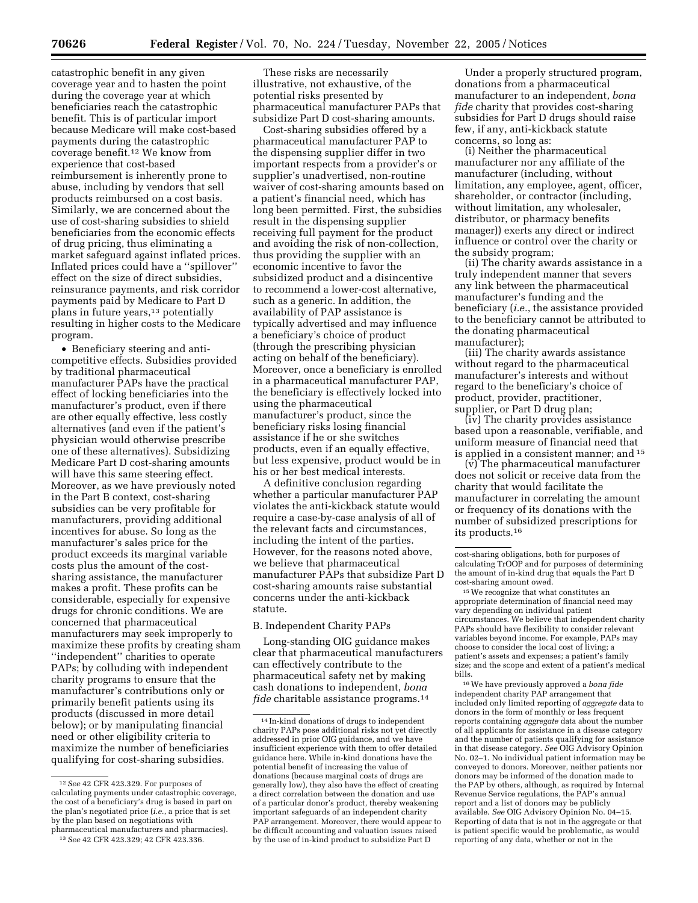catastrophic benefit in any given coverage year and to hasten the point during the coverage year at which beneficiaries reach the catastrophic benefit. This is of particular import because Medicare will make cost-based payments during the catastrophic coverage benefit.12 We know from experience that cost-based reimbursement is inherently prone to abuse, including by vendors that sell products reimbursed on a cost basis. Similarly, we are concerned about the use of cost-sharing subsidies to shield beneficiaries from the economic effects of drug pricing, thus eliminating a market safeguard against inflated prices. Inflated prices could have a ''spillover'' effect on the size of direct subsidies, reinsurance payments, and risk corridor payments paid by Medicare to Part D plans in future years,<sup>13</sup> potentially resulting in higher costs to the Medicare program.

• Beneficiary steering and anticompetitive effects. Subsidies provided by traditional pharmaceutical manufacturer PAPs have the practical effect of locking beneficiaries into the manufacturer's product, even if there are other equally effective, less costly alternatives (and even if the patient's physician would otherwise prescribe one of these alternatives). Subsidizing Medicare Part D cost-sharing amounts will have this same steering effect. Moreover, as we have previously noted in the Part B context, cost-sharing subsidies can be very profitable for manufacturers, providing additional incentives for abuse. So long as the manufacturer's sales price for the product exceeds its marginal variable costs plus the amount of the costsharing assistance, the manufacturer makes a profit. These profits can be considerable, especially for expensive drugs for chronic conditions. We are concerned that pharmaceutical manufacturers may seek improperly to maximize these profits by creating sham ''independent'' charities to operate PAPs; by colluding with independent charity programs to ensure that the manufacturer's contributions only or primarily benefit patients using its products (discussed in more detail below); or by manipulating financial need or other eligibility criteria to maximize the number of beneficiaries qualifying for cost-sharing subsidies.

These risks are necessarily illustrative, not exhaustive, of the potential risks presented by pharmaceutical manufacturer PAPs that subsidize Part D cost-sharing amounts.

Cost-sharing subsidies offered by a pharmaceutical manufacturer PAP to the dispensing supplier differ in two important respects from a provider's or supplier's unadvertised, non-routine waiver of cost-sharing amounts based on a patient's financial need, which has long been permitted. First, the subsidies result in the dispensing supplier receiving full payment for the product and avoiding the risk of non-collection, thus providing the supplier with an economic incentive to favor the subsidized product and a disincentive to recommend a lower-cost alternative, such as a generic. In addition, the availability of PAP assistance is typically advertised and may influence a beneficiary's choice of product (through the prescribing physician acting on behalf of the beneficiary). Moreover, once a beneficiary is enrolled in a pharmaceutical manufacturer PAP, the beneficiary is effectively locked into using the pharmaceutical manufacturer's product, since the beneficiary risks losing financial assistance if he or she switches products, even if an equally effective, but less expensive, product would be in his or her best medical interests.

A definitive conclusion regarding whether a particular manufacturer PAP violates the anti-kickback statute would require a case-by-case analysis of all of the relevant facts and circumstances, including the intent of the parties. However, for the reasons noted above, we believe that pharmaceutical manufacturer PAPs that subsidize Part D cost-sharing amounts raise substantial concerns under the anti-kickback statute.

#### B. Independent Charity PAPs

Long-standing OIG guidance makes clear that pharmaceutical manufacturers can effectively contribute to the pharmaceutical safety net by making cash donations to independent, *bona fide* charitable assistance programs.<sup>14</sup>

Under a properly structured program, donations from a pharmaceutical manufacturer to an independent, *bona fide* charity that provides cost-sharing subsidies for Part D drugs should raise few, if any, anti-kickback statute concerns, so long as:

(i) Neither the pharmaceutical manufacturer nor any affiliate of the manufacturer (including, without limitation, any employee, agent, officer, shareholder, or contractor (including, without limitation, any wholesaler, distributor, or pharmacy benefits manager)) exerts any direct or indirect influence or control over the charity or the subsidy program;

(ii) The charity awards assistance in a truly independent manner that severs any link between the pharmaceutical manufacturer's funding and the beneficiary (*i.e.*, the assistance provided to the beneficiary cannot be attributed to the donating pharmaceutical manufacturer);

(iii) The charity awards assistance without regard to the pharmaceutical manufacturer's interests and without regard to the beneficiary's choice of product, provider, practitioner, supplier, or Part D drug plan;

(iv) The charity provides assistance based upon a reasonable, verifiable, and uniform measure of financial need that is applied in a consistent manner; and 15

(v) The pharmaceutical manufacturer does not solicit or receive data from the charity that would facilitate the manufacturer in correlating the amount or frequency of its donations with the number of subsidized prescriptions for its products.16

15We recognize that what constitutes an appropriate determination of financial need may vary depending on individual patient circumstances. We believe that independent charity PAPs should have flexibility to consider relevant variables beyond income. For example, PAPs may choose to consider the local cost of living; a patient's assets and expenses; a patient's family size; and the scope and extent of a patient's medical bills.

16We have previously approved a *bona fide*  independent charity PAP arrangement that included only limited reporting of *aggregate* data to donors in the form of monthly or less frequent reports containing *aggregate* data about the number of all applicants for assistance in a disease category and the number of patients qualifying for assistance in that disease category. *See* OIG Advisory Opinion No. 02–1. No individual patient information may be conveyed to donors. Moreover, neither patients nor donors may be informed of the donation made to the PAP by others, although, as required by Internal Revenue Service regulations, the PAP's annual report and a list of donors may be publicly available. *See* OIG Advisory Opinion No. 04–15. Reporting of data that is not in the aggregate or that is patient specific would be problematic, as would reporting of any data, whether or not in the

<sup>12</sup>*See* 42 CFR 423.329. For purposes of calculating payments under catastrophic coverage, the cost of a beneficiary's drug is based in part on the plan's negotiated price (*i.e.*, a price that is set by the plan based on negotiations with pharmaceutical manufacturers and pharmacies).

<sup>13</sup>*See* 42 CFR 423.329; 42 CFR 423.336.

<sup>14</sup> In-kind donations of drugs to independent charity PAPs pose additional risks not yet directly addressed in prior OIG guidance, and we have insufficient experience with them to offer detailed guidance here. While in-kind donations have the potential benefit of increasing the value of donations (because marginal costs of drugs are generally low), they also have the effect of creating a direct correlation between the donation and use of a particular donor's product, thereby weakening important safeguards of an independent charity PAP arrangement. Moreover, there would appear to be difficult accounting and valuation issues raised by the use of in-kind product to subsidize Part D

cost-sharing obligations, both for purposes of calculating TrOOP and for purposes of determining the amount of in-kind drug that equals the Part D cost-sharing amount owed.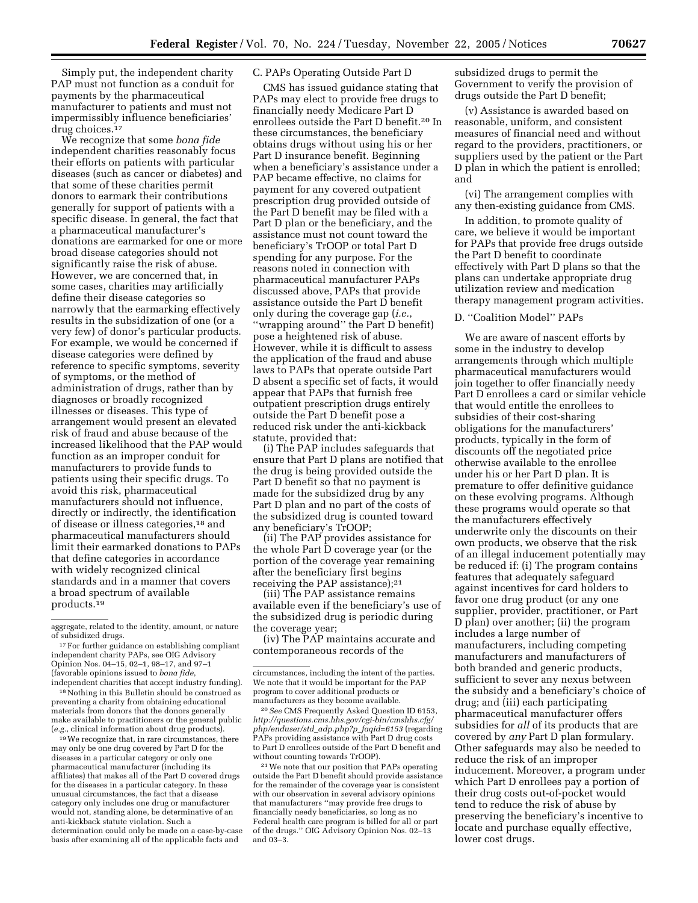Simply put, the independent charity PAP must not function as a conduit for payments by the pharmaceutical manufacturer to patients and must not impermissibly influence beneficiaries' drug choices.17

We recognize that some *bona fide*  independent charities reasonably focus their efforts on patients with particular diseases (such as cancer or diabetes) and that some of these charities permit donors to earmark their contributions generally for support of patients with a specific disease. In general, the fact that a pharmaceutical manufacturer's donations are earmarked for one or more broad disease categories should not significantly raise the risk of abuse. However, we are concerned that, in some cases, charities may artificially define their disease categories so narrowly that the earmarking effectively results in the subsidization of one (or a very few) of donor's particular products. For example, we would be concerned if disease categories were defined by reference to specific symptoms, severity of symptoms, or the method of administration of drugs, rather than by diagnoses or broadly recognized illnesses or diseases. This type of arrangement would present an elevated risk of fraud and abuse because of the increased likelihood that the PAP would function as an improper conduit for manufacturers to provide funds to patients using their specific drugs. To avoid this risk, pharmaceutical manufacturers should not influence, directly or indirectly, the identification of disease or illness categories,18 and pharmaceutical manufacturers should limit their earmarked donations to PAPs that define categories in accordance with widely recognized clinical standards and in a manner that covers a broad spectrum of available products.19

18Nothing in this Bulletin should be construed as preventing a charity from obtaining educational materials from donors that the donors generally make available to practitioners or the general public (*e.g.*, clinical information about drug products).

<sup>19</sup>We recognize that, in rare circumstances, there may only be one drug covered by Part D for the diseases in a particular category or only one pharmaceutical manufacturer (including its affiliates) that makes all of the Part D covered drugs for the diseases in a particular category. In these unusual circumstances, the fact that a disease category only includes one drug or manufacturer would not, standing alone, be determinative of an anti-kickback statute violation. Such a determination could only be made on a case-by-case basis after examining all of the applicable facts and

### C. PAPs Operating Outside Part D

CMS has issued guidance stating that PAPs may elect to provide free drugs to financially needy Medicare Part D enrollees outside the Part D benefit.20 In these circumstances, the beneficiary obtains drugs without using his or her Part D insurance benefit. Beginning when a beneficiary's assistance under a PAP became effective, no claims for payment for any covered outpatient prescription drug provided outside of the Part D benefit may be filed with a Part D plan or the beneficiary, and the assistance must not count toward the beneficiary's TrOOP or total Part D spending for any purpose. For the reasons noted in connection with pharmaceutical manufacturer PAPs discussed above, PAPs that provide assistance outside the Part D benefit only during the coverage gap (*i.e.*, ''wrapping around'' the Part D benefit) pose a heightened risk of abuse. However, while it is difficult to assess the application of the fraud and abuse laws to PAPs that operate outside Part D absent a specific set of facts, it would appear that PAPs that furnish free outpatient prescription drugs entirely outside the Part D benefit pose a reduced risk under the anti-kickback statute, provided that:

(i) The PAP includes safeguards that ensure that Part D plans are notified that the drug is being provided outside the Part D benefit so that no payment is made for the subsidized drug by any Part D plan and no part of the costs of the subsidized drug is counted toward any beneficiary's TrOOP;

(ii) The PAP provides assistance for the whole Part D coverage year (or the portion of the coverage year remaining after the beneficiary first begins receiving the PAP assistance);<sup>21</sup>

(iii) The PAP assistance remains available even if the beneficiary's use of the subsidized drug is periodic during the coverage year;

(iv) The PAP maintains accurate and contemporaneous records of the

20*See* CMS Frequently Asked Question ID 6153, *http://questions.cms.hhs.gov/cgi-bin/cmshhs.cfg/ php/enduser/std*\_*adp.php?p*\_*faqid=6153* (regarding PAPs providing assistance with Part D drug costs to Part D enrollees outside of the Part D benefit and without counting towards TrOOP).

21We note that our position that PAPs operating outside the Part D benefit should provide assistance for the remainder of the coverage year is consistent with our observation in several advisory opinions that manufacturers ''may provide free drugs to financially needy beneficiaries, so long as no Federal health care program is billed for all or part of the drugs.'' OIG Advisory Opinion Nos. 02–13 and 03–3.

subsidized drugs to permit the Government to verify the provision of drugs outside the Part D benefit;

(v) Assistance is awarded based on reasonable, uniform, and consistent measures of financial need and without regard to the providers, practitioners, or suppliers used by the patient or the Part D plan in which the patient is enrolled; and

(vi) The arrangement complies with any then-existing guidance from CMS.

In addition, to promote quality of care, we believe it would be important for PAPs that provide free drugs outside the Part D benefit to coordinate effectively with Part D plans so that the plans can undertake appropriate drug utilization review and medication therapy management program activities.

## D. ''Coalition Model'' PAPs

We are aware of nascent efforts by some in the industry to develop arrangements through which multiple pharmaceutical manufacturers would join together to offer financially needy Part D enrollees a card or similar vehicle that would entitle the enrollees to subsidies of their cost-sharing obligations for the manufacturers' products, typically in the form of discounts off the negotiated price otherwise available to the enrollee under his or her Part D plan. It is premature to offer definitive guidance on these evolving programs. Although these programs would operate so that the manufacturers effectively underwrite only the discounts on their own products, we observe that the risk of an illegal inducement potentially may be reduced if: (i) The program contains features that adequately safeguard against incentives for card holders to favor one drug product (or any one supplier, provider, practitioner, or Part D plan) over another; (ii) the program includes a large number of manufacturers, including competing manufacturers and manufacturers of both branded and generic products, sufficient to sever any nexus between the subsidy and a beneficiary's choice of drug; and (iii) each participating pharmaceutical manufacturer offers subsidies for *all* of its products that are covered by *any* Part D plan formulary. Other safeguards may also be needed to reduce the risk of an improper inducement. Moreover, a program under which Part D enrollees pay a portion of their drug costs out-of-pocket would tend to reduce the risk of abuse by preserving the beneficiary's incentive to locate and purchase equally effective, lower cost drugs.

aggregate, related to the identity, amount, or nature of subsidized drugs.

 $^{17}\mathrm{For}$  further guidance on establishing compliant independent charity PAPs, see OIG Advisory Opinion Nos. 04–15, 02–1, 98–17, and 97–1 (favorable opinions issued to *bona fide*, independent charities that accept industry funding).

circumstances, including the intent of the parties. We note that it would be important for the PAP program to cover additional products or manufacturers as they become available.